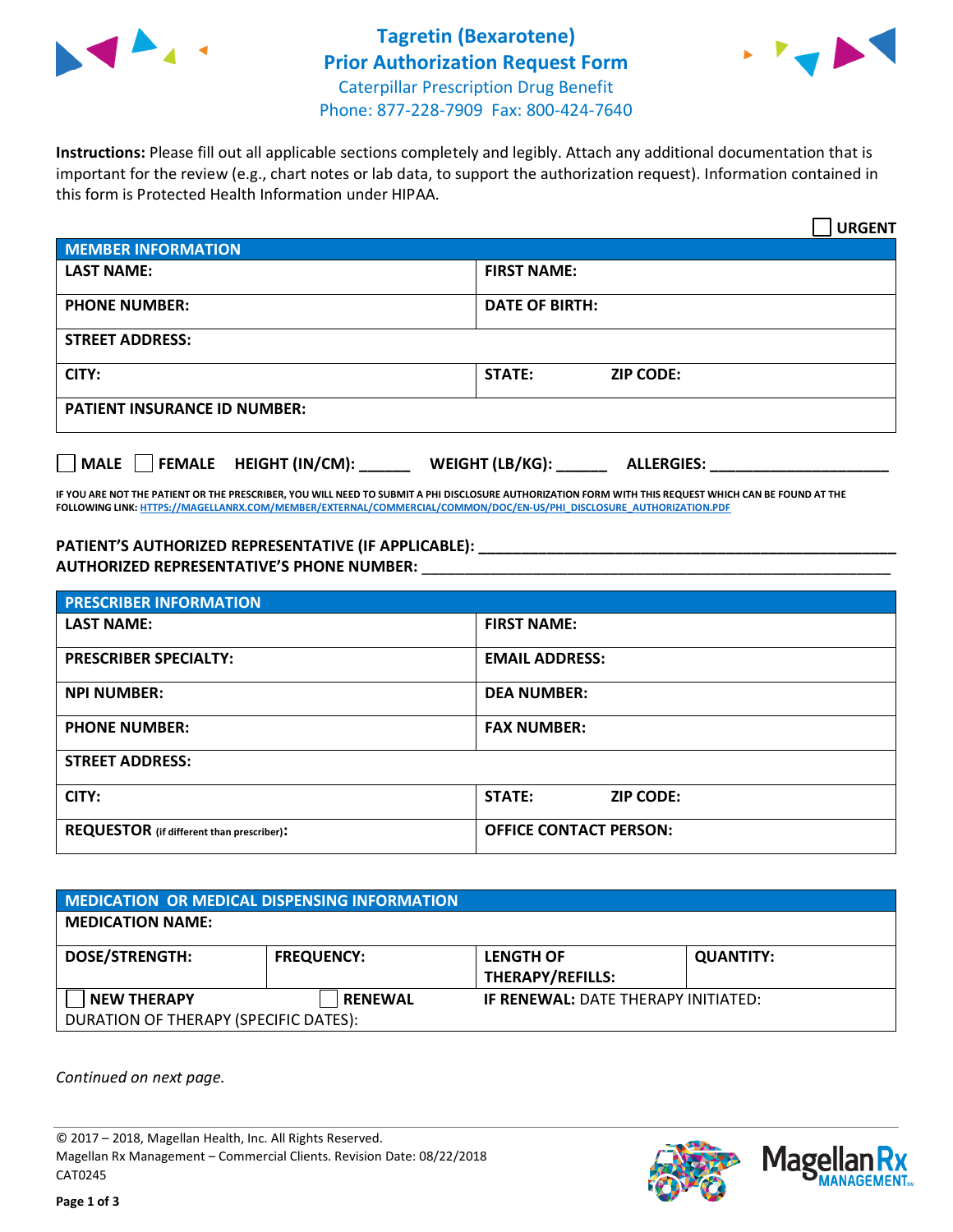



**Instructions:** Please fill out all applicable sections completely and legibly. Attach any additional documentation that is important for the review (e.g., chart notes or lab data, to support the authorization request). Information contained in this form is Protected Health Information under HIPAA.

|                                       | <b>URGENT</b>                        |
|---------------------------------------|--------------------------------------|
| <b>MEMBER INFORMATION</b>             |                                      |
| <b>LAST NAME:</b>                     | <b>FIRST NAME:</b>                   |
| <b>PHONE NUMBER:</b>                  | <b>DATE OF BIRTH:</b>                |
| <b>STREET ADDRESS:</b>                |                                      |
| CITY:                                 | <b>STATE:</b><br><b>ZIP CODE:</b>    |
| <b>PATIENT INSURANCE ID NUMBER:</b>   |                                      |
| FEMALE HEIGHT (IN/CM):<br><b>MALE</b> | WEIGHT (LB/KG):<br><b>ALLERGIES:</b> |

**IF YOU ARE NOT THE PATIENT OR THE PRESCRIBER, YOU WILL NEED TO SUBMIT A PHI DISCLOSURE AUTHORIZATION FORM WITH THIS REQUEST WHICH CAN BE FOUND AT THE FOLLOWING LINK[: HTTPS://MAGELLANRX.COM/MEMBER/EXTERNAL/COMMERCIAL/COMMON/DOC/EN-US/PHI\\_DISCLOSURE\\_AUTHORIZATION.PDF](https://magellanrx.com/member/external/commercial/common/doc/en-us/PHI_Disclosure_Authorization.pdf)**

**PATIENT'S AUTHORIZED REPRESENTATIVE (IF APPLICABLE): \_\_\_\_\_\_\_\_\_\_\_\_\_\_\_\_\_\_\_\_\_\_\_\_\_\_\_\_\_\_\_\_\_\_\_\_\_\_\_\_\_\_\_\_\_\_\_\_\_ AUTHORIZED REPRESENTATIVE'S PHONE NUMBER:** \_\_\_\_\_\_\_\_\_\_\_\_\_\_\_\_\_\_\_\_\_\_\_\_\_\_\_\_\_\_\_\_\_\_\_\_\_\_\_\_\_\_\_\_\_\_\_\_\_\_\_\_\_\_\_

| <b>PRESCRIBER INFORMATION</b>             |                               |  |
|-------------------------------------------|-------------------------------|--|
| <b>LAST NAME:</b>                         | <b>FIRST NAME:</b>            |  |
| <b>PRESCRIBER SPECIALTY:</b>              | <b>EMAIL ADDRESS:</b>         |  |
| <b>NPI NUMBER:</b>                        | <b>DEA NUMBER:</b>            |  |
| <b>PHONE NUMBER:</b>                      | <b>FAX NUMBER:</b>            |  |
| <b>STREET ADDRESS:</b>                    |                               |  |
| CITY:                                     | STATE:<br><b>ZIP CODE:</b>    |  |
| REQUESTOR (if different than prescriber): | <b>OFFICE CONTACT PERSON:</b> |  |

| <b>MEDICATION OR MEDICAL DISPENSING INFORMATION</b> |                   |                                            |                  |  |  |
|-----------------------------------------------------|-------------------|--------------------------------------------|------------------|--|--|
| <b>MEDICATION NAME:</b>                             |                   |                                            |                  |  |  |
| <b>DOSE/STRENGTH:</b>                               | <b>FREQUENCY:</b> | <b>LENGTH OF</b>                           | <b>QUANTITY:</b> |  |  |
|                                                     |                   | <b>THERAPY/REFILLS:</b>                    |                  |  |  |
| <b>NEW THERAPY</b>                                  | <b>RENEWAL</b>    | <b>IF RENEWAL: DATE THERAPY INITIATED:</b> |                  |  |  |
| DURATION OF THERAPY (SPECIFIC DATES):               |                   |                                            |                  |  |  |

*Continued on next page.*

© 2017 – 2018, Magellan Health, Inc. All Rights Reserved. Magellan Rx Management – Commercial Clients. Revision Date: 08/22/2018 CAT0245



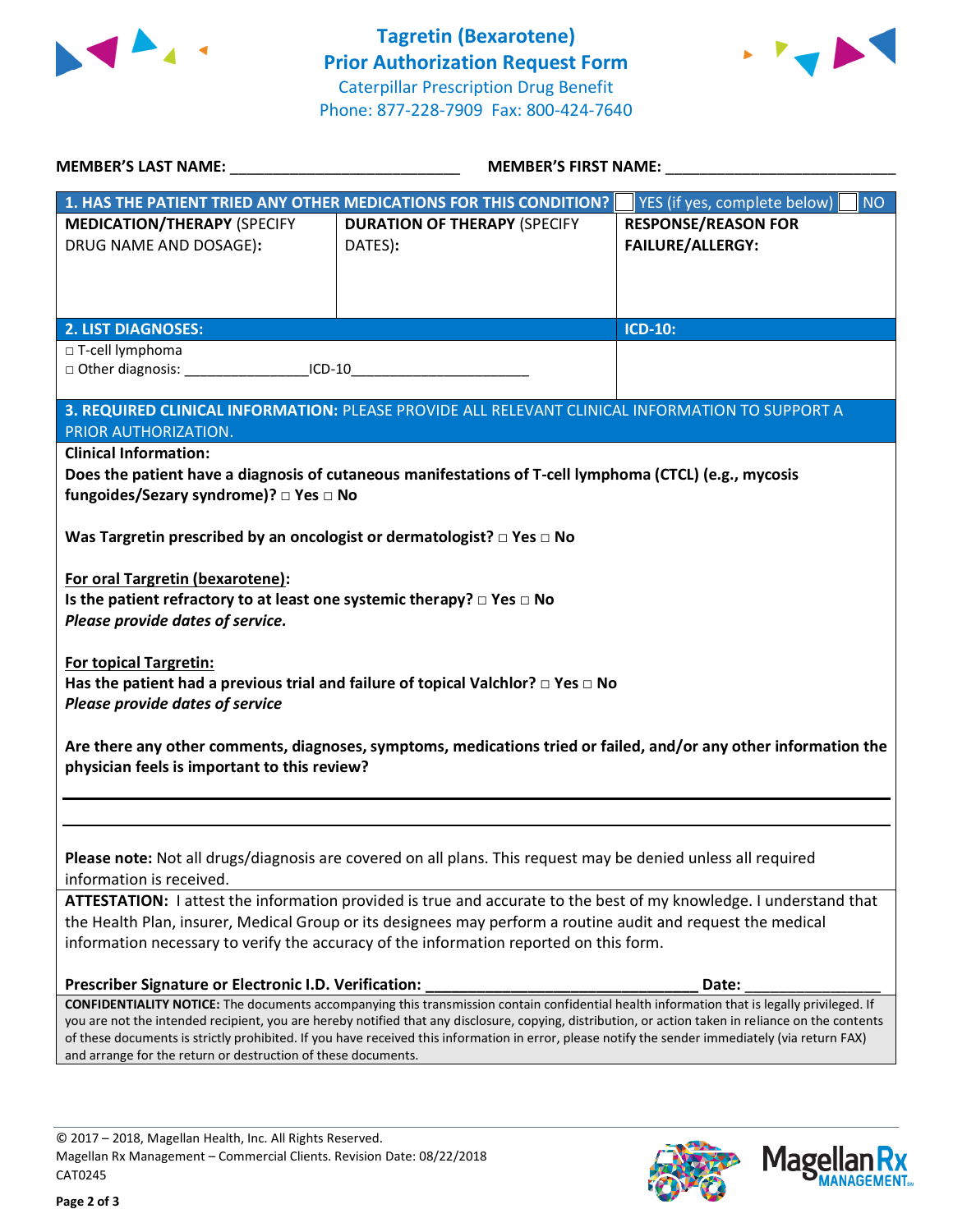



| <b>MEMBER'S LAST NAME:</b><br><b>MEMBER'S FIRST NAME:</b>                                                                                                |                                                                                                                                                                                                                                                                                                         |                                           |
|----------------------------------------------------------------------------------------------------------------------------------------------------------|---------------------------------------------------------------------------------------------------------------------------------------------------------------------------------------------------------------------------------------------------------------------------------------------------------|-------------------------------------------|
|                                                                                                                                                          | 1. HAS THE PATIENT TRIED ANY OTHER MEDICATIONS FOR THIS CONDITION?                                                                                                                                                                                                                                      | <b>NO</b><br>YES (if yes, complete below) |
| <b>MEDICATION/THERAPY (SPECIFY</b>                                                                                                                       | <b>DURATION OF THERAPY (SPECIFY</b>                                                                                                                                                                                                                                                                     | <b>RESPONSE/REASON FOR</b>                |
| DRUG NAME AND DOSAGE):                                                                                                                                   | DATES):                                                                                                                                                                                                                                                                                                 | <b>FAILURE/ALLERGY:</b>                   |
| <b>2. LIST DIAGNOSES:</b>                                                                                                                                |                                                                                                                                                                                                                                                                                                         | <b>ICD-10:</b>                            |
| □ T-cell lymphoma                                                                                                                                        |                                                                                                                                                                                                                                                                                                         |                                           |
| □ Other diagnosis: ____________________ICD-10__________________________________                                                                          |                                                                                                                                                                                                                                                                                                         |                                           |
|                                                                                                                                                          | 3. REQUIRED CLINICAL INFORMATION: PLEASE PROVIDE ALL RELEVANT CLINICAL INFORMATION TO SUPPORT A                                                                                                                                                                                                         |                                           |
| PRIOR AUTHORIZATION.<br><b>Clinical Information:</b>                                                                                                     |                                                                                                                                                                                                                                                                                                         |                                           |
| fungoides/Sezary syndrome)? □ Yes □ No                                                                                                                   | Does the patient have a diagnosis of cutaneous manifestations of T-cell lymphoma (CTCL) (e.g., mycosis                                                                                                                                                                                                  |                                           |
| Was Targretin prescribed by an oncologist or dermatologist? $\square$ Yes $\square$ No                                                                   |                                                                                                                                                                                                                                                                                                         |                                           |
| For oral Targretin (bexarotene):<br>Is the patient refractory to at least one systemic therapy? $\Box$ Yes $\Box$ No<br>Please provide dates of service. |                                                                                                                                                                                                                                                                                                         |                                           |
| <b>For topical Targretin:</b><br>Please provide dates of service                                                                                         | Has the patient had a previous trial and failure of topical Valchlor? $\Box$ Yes $\Box$ No                                                                                                                                                                                                              |                                           |
| physician feels is important to this review?                                                                                                             | Are there any other comments, diagnoses, symptoms, medications tried or failed, and/or any other information the                                                                                                                                                                                        |                                           |
|                                                                                                                                                          |                                                                                                                                                                                                                                                                                                         |                                           |
| information is received.                                                                                                                                 | Please note: Not all drugs/diagnosis are covered on all plans. This request may be denied unless all required                                                                                                                                                                                           |                                           |
|                                                                                                                                                          | ATTESTATION: I attest the information provided is true and accurate to the best of my knowledge. I understand that                                                                                                                                                                                      |                                           |
|                                                                                                                                                          | the Health Plan, insurer, Medical Group or its designees may perform a routine audit and request the medical                                                                                                                                                                                            |                                           |
|                                                                                                                                                          | information necessary to verify the accuracy of the information reported on this form.                                                                                                                                                                                                                  |                                           |
|                                                                                                                                                          |                                                                                                                                                                                                                                                                                                         |                                           |
|                                                                                                                                                          |                                                                                                                                                                                                                                                                                                         | Date:                                     |
|                                                                                                                                                          | CONFIDENTIALITY NOTICE: The documents accompanying this transmission contain confidential health information that is legally privileged. If                                                                                                                                                             |                                           |
| Prescriber Signature or Electronic I.D. Verification:                                                                                                    | you are not the intended recipient, you are hereby notified that any disclosure, copying, distribution, or action taken in reliance on the contents<br>of these documents is strictly prohibited. If you have received this information in error, please notify the sender immediately (via return FAX) |                                           |